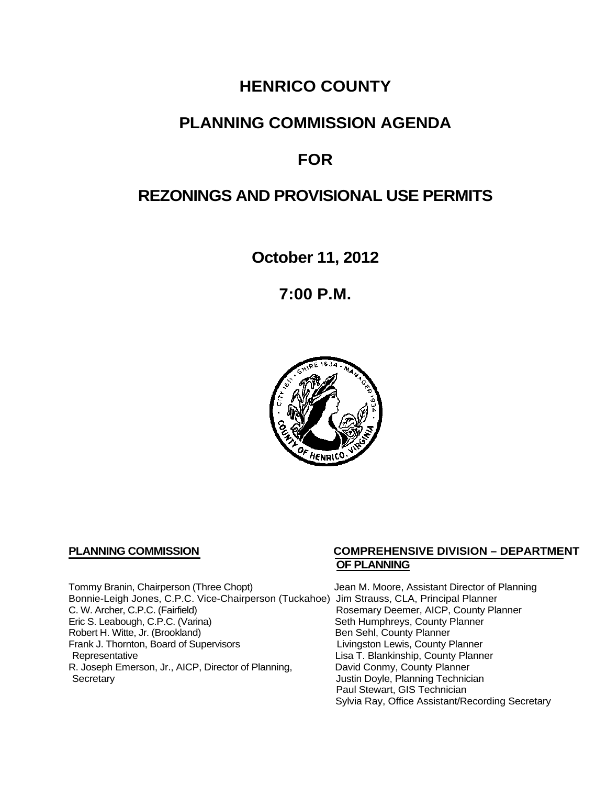# **HENRICO COUNTY**

# **PLANNING COMMISSION AGENDA**

# **FOR**

# **REZONINGS AND PROVISIONAL USE PERMITS**

**October 11, 2012**

**7:00 P.M.**



Tommy Branin, Chairperson (Three Chopt) Jean M. Moore, Assistant Director of Planning Bonnie-Leigh Jones, C.P.C. Vice-Chairperson (Tuckahoe) Jim Strauss, CLA, Principal Planner C. W. Archer, C.P.C. (Fairfield) <br>
Eric S. Leabough, C.P.C. (Varina) 
Rosemary Deemer, AICP, County Planner<br>
Seth Humphreys, County Planner Robert H. Witte, Jr. (Brookland)<br>
Frank J. Thornton, Board of Supervisors<br>
Eivingston Lewis, County Planner Frank J. Thornton, Board of Supervisors<br>Representative R. Joseph Emerson, Jr., AICP, Director of Planning, Secretary

## **PLANNING COMMISSION COMPREHENSIVE DIVISION – DEPARTMENT OF PLANNING**

Seth Humphreys, County Planner<br>Ben Sehl, County Planner Lisa T. Blankinship, County Planner<br>David Conmy, County Planner Justin Doyle, Planning Technician Paul Stewart, GIS Technician Sylvia Ray, Office Assistant/Recording Secretary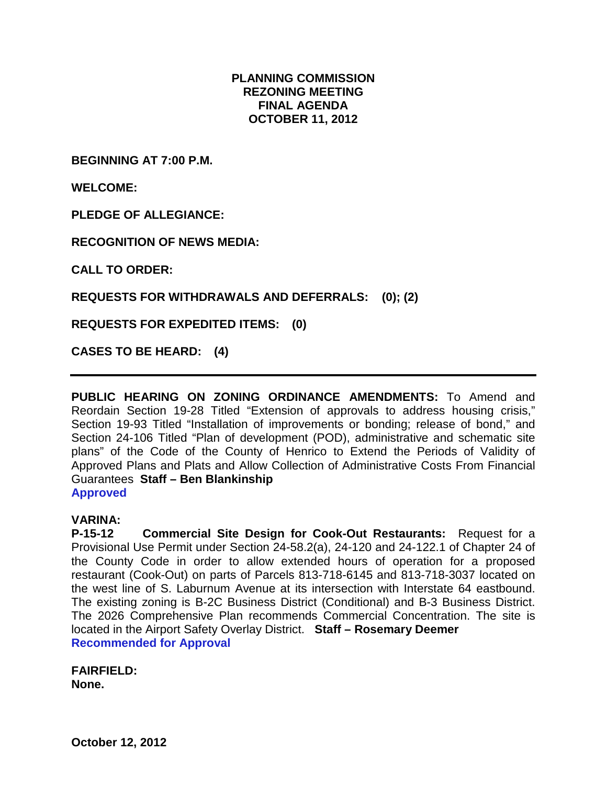## **PLANNING COMMISSION REZONING MEETING FINAL AGENDA OCTOBER 11, 2012**

**BEGINNING AT 7:00 P.M.**

**WELCOME:**

**PLEDGE OF ALLEGIANCE:**

**RECOGNITION OF NEWS MEDIA:**

**CALL TO ORDER:**

**REQUESTS FOR WITHDRAWALS AND DEFERRALS: (0); (2)**

**REQUESTS FOR EXPEDITED ITEMS: (0)**

**CASES TO BE HEARD: (4)**

**PUBLIC HEARING ON ZONING ORDINANCE AMENDMENTS:** To Amend and Reordain Section 19-28 Titled "Extension of approvals to address housing crisis," Section 19-93 Titled "Installation of improvements or bonding; release of bond," and Section 24-106 Titled "Plan of development (POD), administrative and schematic site plans" of the Code of the County of Henrico to Extend the Periods of Validity of Approved Plans and Plats and Allow Collection of Administrative Costs From Financial Guarantees **Staff – Ben Blankinship Approved**

#### **VARINA:**

**P-15-12 Commercial Site Design for Cook-Out Restaurants:** Request for a Provisional Use Permit under Section 24-58.2(a), 24-120 and 24-122.1 of Chapter 24 of the County Code in order to allow extended hours of operation for a proposed restaurant (Cook-Out) on parts of Parcels 813-718-6145 and 813-718-3037 located on the west line of S. Laburnum Avenue at its intersection with Interstate 64 eastbound. The existing zoning is B-2C Business District (Conditional) and B-3 Business District. The 2026 Comprehensive Plan recommends Commercial Concentration. The site is located in the Airport Safety Overlay District. **Staff – Rosemary Deemer Recommended for Approval**

**FAIRFIELD: None.**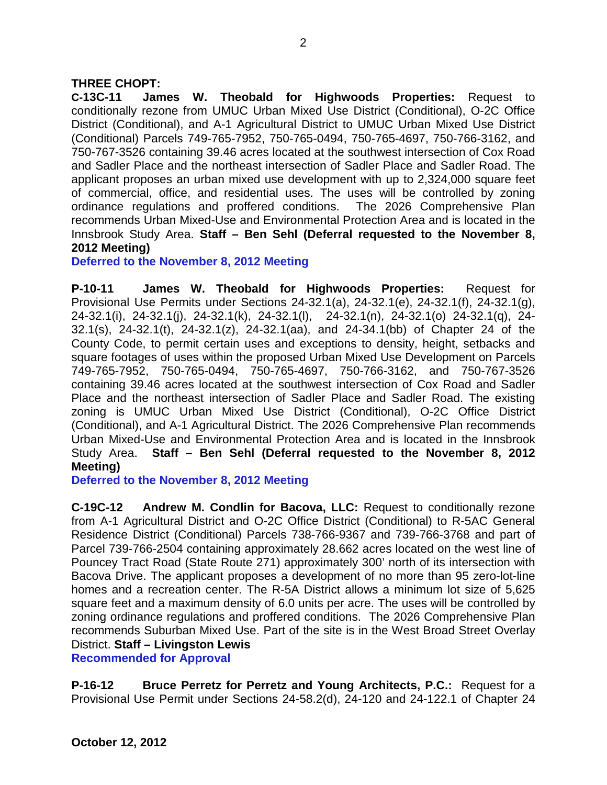## **THREE CHOPT:**

**C-13C-11 James W. Theobald for Highwoods Properties:** Request to conditionally rezone from UMUC Urban Mixed Use District (Conditional), O-2C Office District (Conditional), and A-1 Agricultural District to UMUC Urban Mixed Use District (Conditional) Parcels 749-765-7952, 750-765-0494, 750-765-4697, 750-766-3162, and 750-767-3526 containing 39.46 acres located at the southwest intersection of Cox Road and Sadler Place and the northeast intersection of Sadler Place and Sadler Road. The applicant proposes an urban mixed use development with up to 2,324,000 square feet of commercial, office, and residential uses. The uses will be controlled by zoning ordinance regulations and proffered conditions. The 2026 Comprehensive Plan recommends Urban Mixed-Use and Environmental Protection Area and is located in the Innsbrook Study Area. **Staff – Ben Sehl (Deferral requested to the November 8, 2012 Meeting)**

**Deferred to the November 8, 2012 Meeting**

**P-10-11 James W. Theobald for Highwoods Properties:** Request for Provisional Use Permits under Sections 24-32.1(a), 24-32.1(e), 24-32.1(f), 24-32.1(g), 24-32.1(i), 24-32.1(j), 24-32.1(k), 24-32.1(l), 24-32.1(n), 24-32.1(o) 24-32.1(q), 24- 32.1(s), 24-32.1(t), 24-32.1(z), 24-32.1(aa), and 24-34.1(bb) of Chapter 24 of the County Code, to permit certain uses and exceptions to density, height, setbacks and square footages of uses within the proposed Urban Mixed Use Development on Parcels 749-765-7952, 750-765-0494, 750-765-4697, 750-766-3162, and 750-767-3526 containing 39.46 acres located at the southwest intersection of Cox Road and Sadler Place and the northeast intersection of Sadler Place and Sadler Road. The existing zoning is UMUC Urban Mixed Use District (Conditional), O-2C Office District (Conditional), and A-1 Agricultural District. The 2026 Comprehensive Plan recommends Urban Mixed-Use and Environmental Protection Area and is located in the Innsbrook Study Area. **Staff – Ben Sehl (Deferral requested to the November 8, 2012 Meeting)**

**Deferred to the November 8, 2012 Meeting**

**C-19C-12 Andrew M. Condlin for Bacova, LLC:** Request to conditionally rezone from A-1 Agricultural District and O-2C Office District (Conditional) to R-5AC General Residence District (Conditional) Parcels 738-766-9367 and 739-766-3768 and part of Parcel 739-766-2504 containing approximately 28.662 acres located on the west line of Pouncey Tract Road (State Route 271) approximately 300' north of its intersection with Bacova Drive. The applicant proposes a development of no more than 95 zero-lot-line homes and a recreation center. The R-5A District allows a minimum lot size of 5,625 square feet and a maximum density of 6.0 units per acre. The uses will be controlled by zoning ordinance regulations and proffered conditions. The 2026 Comprehensive Plan recommends Suburban Mixed Use. Part of the site is in the West Broad Street Overlay District. **Staff – Livingston Lewis**

**Recommended for Approval**

**P-16-12 Bruce Perretz for Perretz and Young Architects, P.C.:** Request for a Provisional Use Permit under Sections 24-58.2(d), 24-120 and 24-122.1 of Chapter 24